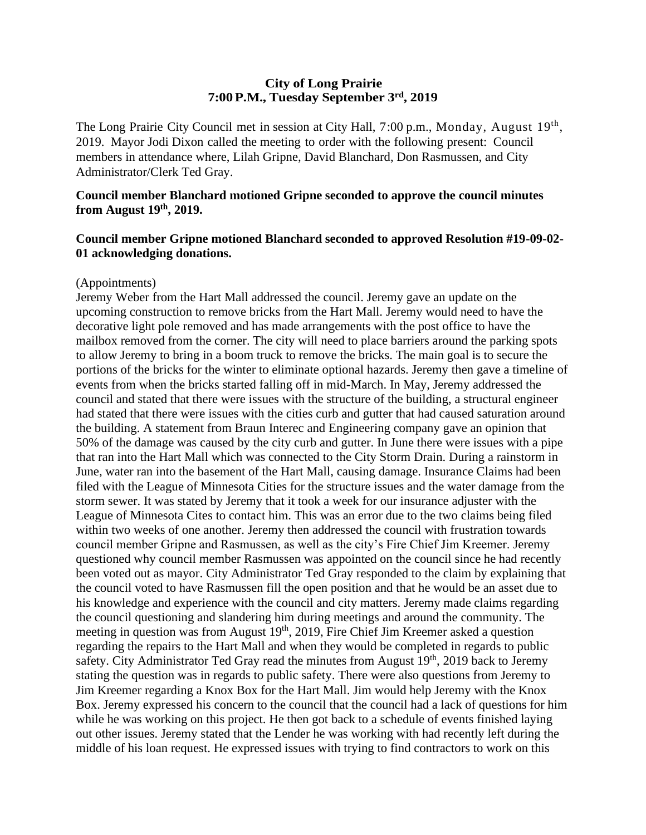## **City of Long Prairie 7:00P.M., Tuesday September 3rd, 2019**

The Long Prairie City Council met in session at City Hall, 7:00 p.m., Monday, August 19<sup>th</sup>, 2019. Mayor Jodi Dixon called the meeting to order with the following present: Council members in attendance where, Lilah Gripne, David Blanchard, Don Rasmussen, and City Administrator/Clerk Ted Gray.

## **Council member Blanchard motioned Gripne seconded to approve the council minutes from August 19th , 2019.**

## **Council member Gripne motioned Blanchard seconded to approved Resolution #19-09-02- 01 acknowledging donations.**

#### (Appointments)

Jeremy Weber from the Hart Mall addressed the council. Jeremy gave an update on the upcoming construction to remove bricks from the Hart Mall. Jeremy would need to have the decorative light pole removed and has made arrangements with the post office to have the mailbox removed from the corner. The city will need to place barriers around the parking spots to allow Jeremy to bring in a boom truck to remove the bricks. The main goal is to secure the portions of the bricks for the winter to eliminate optional hazards. Jeremy then gave a timeline of events from when the bricks started falling off in mid-March. In May, Jeremy addressed the council and stated that there were issues with the structure of the building, a structural engineer had stated that there were issues with the cities curb and gutter that had caused saturation around the building. A statement from Braun Interec and Engineering company gave an opinion that 50% of the damage was caused by the city curb and gutter. In June there were issues with a pipe that ran into the Hart Mall which was connected to the City Storm Drain. During a rainstorm in June, water ran into the basement of the Hart Mall, causing damage. Insurance Claims had been filed with the League of Minnesota Cities for the structure issues and the water damage from the storm sewer. It was stated by Jeremy that it took a week for our insurance adjuster with the League of Minnesota Cites to contact him. This was an error due to the two claims being filed within two weeks of one another. Jeremy then addressed the council with frustration towards council member Gripne and Rasmussen, as well as the city's Fire Chief Jim Kreemer. Jeremy questioned why council member Rasmussen was appointed on the council since he had recently been voted out as mayor. City Administrator Ted Gray responded to the claim by explaining that the council voted to have Rasmussen fill the open position and that he would be an asset due to his knowledge and experience with the council and city matters. Jeremy made claims regarding the council questioning and slandering him during meetings and around the community. The meeting in question was from August  $19<sup>th</sup>$ , 2019, Fire Chief Jim Kreemer asked a question regarding the repairs to the Hart Mall and when they would be completed in regards to public safety. City Administrator Ted Gray read the minutes from August  $19<sup>th</sup>$ , 2019 back to Jeremy stating the question was in regards to public safety. There were also questions from Jeremy to Jim Kreemer regarding a Knox Box for the Hart Mall. Jim would help Jeremy with the Knox Box. Jeremy expressed his concern to the council that the council had a lack of questions for him while he was working on this project. He then got back to a schedule of events finished laying out other issues. Jeremy stated that the Lender he was working with had recently left during the middle of his loan request. He expressed issues with trying to find contractors to work on this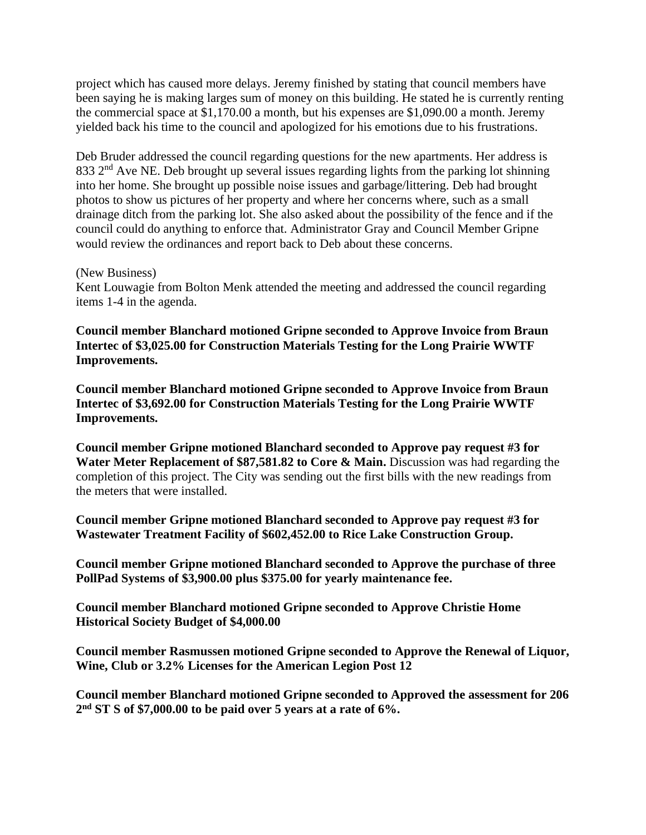project which has caused more delays. Jeremy finished by stating that council members have been saying he is making larges sum of money on this building. He stated he is currently renting the commercial space at \$1,170.00 a month, but his expenses are \$1,090.00 a month. Jeremy yielded back his time to the council and apologized for his emotions due to his frustrations.

Deb Bruder addressed the council regarding questions for the new apartments. Her address is 833  $2<sup>nd</sup>$  Ave NE. Deb brought up several issues regarding lights from the parking lot shinning into her home. She brought up possible noise issues and garbage/littering. Deb had brought photos to show us pictures of her property and where her concerns where, such as a small drainage ditch from the parking lot. She also asked about the possibility of the fence and if the council could do anything to enforce that. Administrator Gray and Council Member Gripne would review the ordinances and report back to Deb about these concerns.

#### (New Business)

Kent Louwagie from Bolton Menk attended the meeting and addressed the council regarding items 1-4 in the agenda.

**Council member Blanchard motioned Gripne seconded to Approve Invoice from Braun Intertec of \$3,025.00 for Construction Materials Testing for the Long Prairie WWTF Improvements.**

**Council member Blanchard motioned Gripne seconded to Approve Invoice from Braun Intertec of \$3,692.00 for Construction Materials Testing for the Long Prairie WWTF Improvements.**

**Council member Gripne motioned Blanchard seconded to Approve pay request #3 for**  Water Meter Replacement of \$87,581.82 to Core & Main. Discussion was had regarding the completion of this project. The City was sending out the first bills with the new readings from the meters that were installed.

**Council member Gripne motioned Blanchard seconded to Approve pay request #3 for Wastewater Treatment Facility of \$602,452.00 to Rice Lake Construction Group.**

**Council member Gripne motioned Blanchard seconded to Approve the purchase of three PollPad Systems of \$3,900.00 plus \$375.00 for yearly maintenance fee.**

**Council member Blanchard motioned Gripne seconded to Approve Christie Home Historical Society Budget of \$4,000.00**

**Council member Rasmussen motioned Gripne seconded to Approve the Renewal of Liquor, Wine, Club or 3.2% Licenses for the American Legion Post 12**

**Council member Blanchard motioned Gripne seconded to Approved the assessment for 206 2 nd ST S of \$7,000.00 to be paid over 5 years at a rate of 6%.**